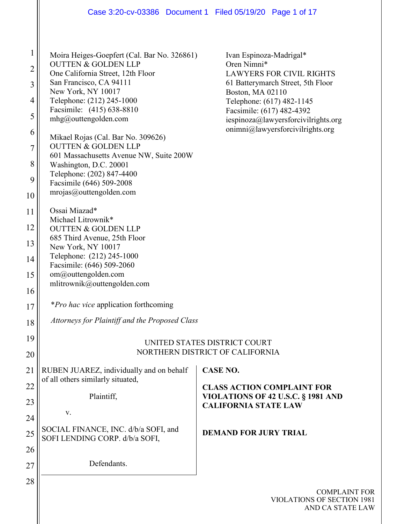| $\mathbf{1}$   | Moira Heiges-Goepfert (Cal. Bar No. 326861)                                   | Ivan Espinoza-Madrigal*                                                 |  |  |  |  |
|----------------|-------------------------------------------------------------------------------|-------------------------------------------------------------------------|--|--|--|--|
| $\overline{2}$ | <b>OUTTEN &amp; GOLDEN LLP</b>                                                | Oren Nimni*                                                             |  |  |  |  |
|                | One California Street, 12th Floor<br>San Francisco, CA 94111                  | <b>LAWYERS FOR CIVIL RIGHTS</b><br>61 Batterymarch Street, 5th Floor    |  |  |  |  |
| 3              | New York, NY 10017                                                            | Boston, MA 02110                                                        |  |  |  |  |
| 4              | Telephone: (212) 245-1000                                                     | Telephone: (617) 482-1145                                               |  |  |  |  |
|                | Facsimile: (415) 638-8810                                                     | Facsimile: (617) 482-4392                                               |  |  |  |  |
| 5              | mhg@outtengolden.com                                                          | iespinoza@lawyersforcivilrights.org                                     |  |  |  |  |
| 6              |                                                                               | $onimni@$ lawyersforcivilrights.org                                     |  |  |  |  |
|                | Mikael Rojas (Cal. Bar No. 309626)<br><b>OUTTEN &amp; GOLDEN LLP</b>          |                                                                         |  |  |  |  |
| $\overline{7}$ | 601 Massachusetts Avenue NW, Suite 200W                                       |                                                                         |  |  |  |  |
| 8              | Washington, D.C. 20001                                                        |                                                                         |  |  |  |  |
|                | Telephone: (202) 847-4400                                                     |                                                                         |  |  |  |  |
| 9              | Facsimile (646) 509-2008                                                      |                                                                         |  |  |  |  |
| 10             | mrojas@outtengolden.com                                                       |                                                                         |  |  |  |  |
| 11             | Ossai Miazad*                                                                 |                                                                         |  |  |  |  |
|                | Michael Litrownik*                                                            |                                                                         |  |  |  |  |
| 12             | <b>OUTTEN &amp; GOLDEN LLP</b>                                                |                                                                         |  |  |  |  |
| 13             | 685 Third Avenue, 25th Floor                                                  |                                                                         |  |  |  |  |
|                | New York, NY 10017                                                            |                                                                         |  |  |  |  |
| 14             | Telephone: (212) 245-1000<br>Facsimile: (646) 509-2060<br>om@outtengolden.com |                                                                         |  |  |  |  |
| 15             |                                                                               |                                                                         |  |  |  |  |
|                | mlitrownik@outtengolden.com                                                   |                                                                         |  |  |  |  |
| 16             |                                                                               |                                                                         |  |  |  |  |
| 17             | *Pro hac vice application forthcoming                                         |                                                                         |  |  |  |  |
|                | Attorneys for Plaintiff and the Proposed Class                                |                                                                         |  |  |  |  |
| 18             |                                                                               |                                                                         |  |  |  |  |
| 19             |                                                                               |                                                                         |  |  |  |  |
|                | UNITED STATES DISTRICT COURT<br>NORTHERN DISTRICT OF CALIFORNIA               |                                                                         |  |  |  |  |
| 20             |                                                                               |                                                                         |  |  |  |  |
| 21             | RUBEN JUAREZ, individually and on behalf                                      | <b>CASE NO.</b>                                                         |  |  |  |  |
| 22             | of all others similarly situated,                                             |                                                                         |  |  |  |  |
|                | Plaintiff,                                                                    | <b>CLASS ACTION COMPLAINT FOR</b><br>VIOLATIONS OF 42 U.S.C. § 1981 AND |  |  |  |  |
| 23             |                                                                               | <b>CALIFORNIA STATE LAW</b>                                             |  |  |  |  |
| 24             | V.                                                                            |                                                                         |  |  |  |  |
|                | SOCIAL FINANCE, INC. d/b/a SOFI, and                                          |                                                                         |  |  |  |  |
| 25             | SOFI LENDING CORP. d/b/a SOFI,                                                | <b>DEMAND FOR JURY TRIAL</b>                                            |  |  |  |  |
| 26             |                                                                               |                                                                         |  |  |  |  |
|                | Defendants.                                                                   |                                                                         |  |  |  |  |
| 27             |                                                                               |                                                                         |  |  |  |  |
| 28             |                                                                               |                                                                         |  |  |  |  |
|                |                                                                               | COMPLAIN'                                                               |  |  |  |  |

**T** FOR VIOLATIONS OF SECTION 1981 AND CA STATE LAW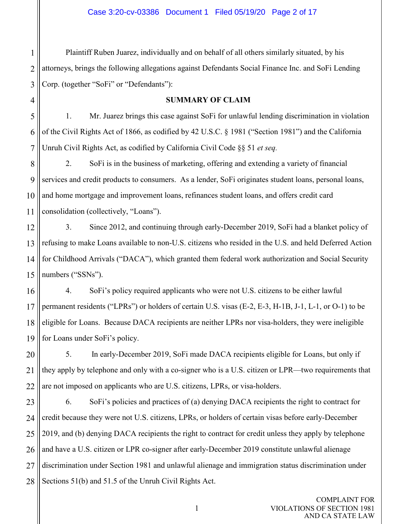1 2 3 Plaintiff Ruben Juarez, individually and on behalf of all others similarly situated, by his attorneys, brings the following allegations against Defendants Social Finance Inc. and SoFi Lending Corp. (together "SoFi" or "Defendants"):

4

#### **SUMMARY OF CLAIM**

5 6 7 1. Mr. Juarez brings this case against SoFi for unlawful lending discrimination in violation of the Civil Rights Act of 1866, as codified by 42 U.S.C. § 1981 ("Section 1981") and the California Unruh Civil Rights Act, as codified by California Civil Code §§ 51 *et seq.*

8 9 10 11 2. SoFi is in the business of marketing, offering and extending a variety of financial services and credit products to consumers. As a lender, SoFi originates student loans, personal loans, and home mortgage and improvement loans, refinances student loans, and offers credit card consolidation (collectively, "Loans").

12 13 14 15 3. Since 2012, and continuing through early-December 2019, SoFi had a blanket policy of refusing to make Loans available to non-U.S. citizens who resided in the U.S. and held Deferred Action for Childhood Arrivals ("DACA"), which granted them federal work authorization and Social Security numbers ("SSNs").

16 17 18 19 4. SoFi's policy required applicants who were not U.S. citizens to be either lawful permanent residents ("LPRs") or holders of certain U.S. visas (E-2, E-3, H-1B, J-1, L-1, or O-1) to be eligible for Loans. Because DACA recipients are neither LPRs nor visa-holders, they were ineligible for Loans under SoFi's policy.

20 21 22 5. In early-December 2019, SoFi made DACA recipients eligible for Loans, but only if they apply by telephone and only with a co-signer who is a U.S. citizen or LPR—two requirements that are not imposed on applicants who are U.S. citizens, LPRs, or visa-holders.

23 24 25 26 27 28 6. SoFi's policies and practices of (a) denying DACA recipients the right to contract for credit because they were not U.S. citizens, LPRs, or holders of certain visas before early-December 2019, and (b) denying DACA recipients the right to contract for credit unless they apply by telephone and have a U.S. citizen or LPR co-signer after early-December 2019 constitute unlawful alienage discrimination under Section 1981 and unlawful alienage and immigration status discrimination under Sections 51(b) and 51.5 of the Unruh Civil Rights Act.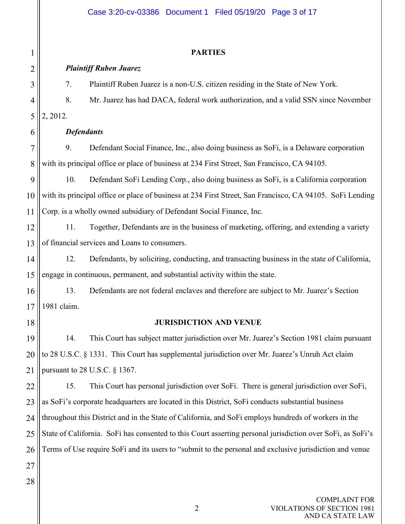# Case 3:20-cv-03386 Document 1 Filed 05/19/20 Page 3 of 17

| 1              | <b>PARTIES</b>                                                                                             |                                                                                             |  |  |  |  |
|----------------|------------------------------------------------------------------------------------------------------------|---------------------------------------------------------------------------------------------|--|--|--|--|
| 2              | <b>Plaintiff Ruben Juarez</b>                                                                              |                                                                                             |  |  |  |  |
| 3              | 7.                                                                                                         | Plaintiff Ruben Juarez is a non-U.S. citizen residing in the State of New York.             |  |  |  |  |
| $\overline{4}$ | 8.                                                                                                         | Mr. Juarez has had DACA, federal work authorization, and a valid SSN since November         |  |  |  |  |
| 5              | 2, 2012.                                                                                                   |                                                                                             |  |  |  |  |
| 6              | <b>Defendants</b>                                                                                          |                                                                                             |  |  |  |  |
| 7              | 9.                                                                                                         | Defendant Social Finance, Inc., also doing business as SoFi, is a Delaware corporation      |  |  |  |  |
| 8              | with its principal office or place of business at 234 First Street, San Francisco, CA 94105.               |                                                                                             |  |  |  |  |
| 9              | 10.                                                                                                        | Defendant SoFi Lending Corp., also doing business as SoFi, is a California corporation      |  |  |  |  |
| 10             | with its principal office or place of business at 234 First Street, San Francisco, CA 94105. SoFi Lending  |                                                                                             |  |  |  |  |
| 11             | Corp. is a wholly owned subsidiary of Defendant Social Finance, Inc.                                       |                                                                                             |  |  |  |  |
| 12             | 11.                                                                                                        | Together, Defendants are in the business of marketing, offering, and extending a variety    |  |  |  |  |
| 13             | of financial services and Loans to consumers.                                                              |                                                                                             |  |  |  |  |
| 14             | 12.                                                                                                        | Defendants, by soliciting, conducting, and transacting business in the state of California, |  |  |  |  |
| 15             | engage in continuous, permanent, and substantial activity within the state.                                |                                                                                             |  |  |  |  |
| 16             | 13.                                                                                                        | Defendants are not federal enclaves and therefore are subject to Mr. Juarez's Section       |  |  |  |  |
| 17             | 1981 claim.                                                                                                |                                                                                             |  |  |  |  |
| 18             | <b>JURISDICTION AND VENUE</b>                                                                              |                                                                                             |  |  |  |  |
| 19             | 14.                                                                                                        | This Court has subject matter jurisdiction over Mr. Juarez's Section 1981 claim pursuant    |  |  |  |  |
| 20             | to 28 U.S.C. § 1331. This Court has supplemental jurisdiction over Mr. Juarez's Unruh Act claim            |                                                                                             |  |  |  |  |
| 21             | pursuant to $28$ U.S.C. $\S$ 1367.                                                                         |                                                                                             |  |  |  |  |
| 22             | 15.                                                                                                        | This Court has personal jurisdiction over SoFi. There is general jurisdiction over SoFi,    |  |  |  |  |
| 23             | as SoFi's corporate headquarters are located in this District, SoFi conducts substantial business          |                                                                                             |  |  |  |  |
| 24             | throughout this District and in the State of California, and SoFi employs hundreds of workers in the       |                                                                                             |  |  |  |  |
| 25             | State of California. SoFi has consented to this Court asserting personal jurisdiction over SoFi, as SoFi's |                                                                                             |  |  |  |  |
| 26             | Terms of Use require SoFi and its users to "submit to the personal and exclusive jurisdiction and venue    |                                                                                             |  |  |  |  |
| 27             |                                                                                                            |                                                                                             |  |  |  |  |
| 28             |                                                                                                            |                                                                                             |  |  |  |  |
|                |                                                                                                            |                                                                                             |  |  |  |  |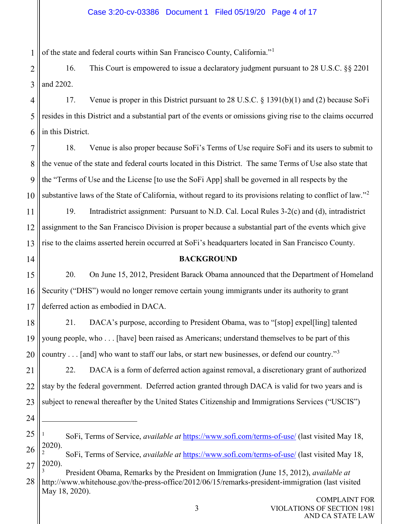#### Case 3:20-cv-03386 Document 1 Filed 05/19/20 Page 4 of 17

1 of the state and federal courts within San Francisco County, California."<sup>[1](#page-3-0)</sup>

2 3 16. This Court is empowered to issue a declaratory judgment pursuant to 28 U.S.C. §§ 2201 and 2202.

4 5 6 17. Venue is proper in this District pursuant to 28 U.S.C. § 1391(b)(1) and (2) because SoFi resides in this District and a substantial part of the events or omissions giving rise to the claims occurred in this District.

7 8 9 10 18. Venue is also proper because SoFi's Terms of Use require SoFi and its users to submit to the venue of the state and federal courts located in this District. The same Terms of Use also state that the "Terms of Use and the License [to use the SoFi App] shall be governed in all respects by the substantive laws of the State of California, without regard to its provisions relating to conflict of law."<sup>[2](#page-3-1)</sup>

11 12 13 19. Intradistrict assignment: Pursuant to N.D. Cal. Local Rules 3-2(c) and (d), intradistrict assignment to the San Francisco Division is proper because a substantial part of the events which give rise to the claims asserted herein occurred at SoFi's headquarters located in San Francisco County.

14

#### **BACKGROUND**

15 16 17 20. On June 15, 2012, President Barack Obama announced that the Department of Homeland Security ("DHS") would no longer remove certain young immigrants under its authority to grant deferred action as embodied in DACA.

18 19 20 21. DACA's purpose, according to President Obama, was to "[stop] expel[ling] talented young people, who . . . [have] been raised as Americans; understand themselves to be part of this country . . . [and] who want to staff our labs, or start new businesses, or defend our country."[3](#page-3-2)

21 22 23 22. DACA is a form of deferred action against removal, a discretionary grant of authorized stay by the federal government. Deferred action granted through DACA is valid for two years and is subject to renewal thereafter by the United States Citizenship and Immigrations Services ("USCIS")

24

<span id="page-3-0"></span><sup>25</sup> 26 <sup>1</sup> SoFi, Terms of Service, *available at* https://www.sofi.com/terms-of-use/ (last visited May 18, 2020).

<span id="page-3-1"></span><sup>27</sup> <sup>2</sup> SoFi, Terms of Service, *available at* https://www.sofi.com/terms-of-use/ (last visited May 18, 2020).

<span id="page-3-2"></span><sup>28</sup> <sup>3</sup> President Obama, Remarks by the President on Immigration (June 15, 2012), *available at* http://www.whitehouse.gov/the-press-office/2012/06/15/remarks-president-immigration (last visited May 18, 2020).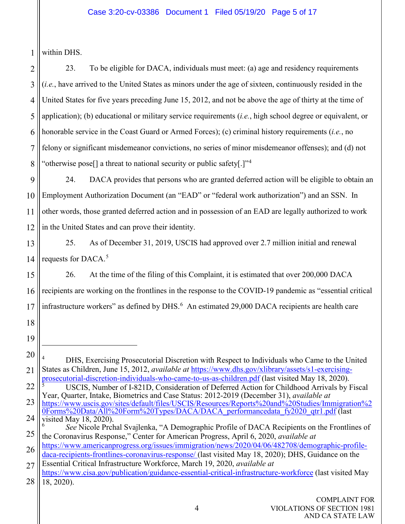1 within DHS.

2 3 4 5 6 7 8 23. To be eligible for DACA, individuals must meet: (a) age and residency requirements (*i.e.*, have arrived to the United States as minors under the age of sixteen, continuously resided in the United States for five years preceding June 15, 2012, and not be above the age of thirty at the time of application); (b) educational or military service requirements (*i.e.*, high school degree or equivalent, or honorable service in the Coast Guard or Armed Forces); (c) criminal history requirements (*i.e.*, no felony or significant misdemeanor convictions, no series of minor misdemeanor offenses); and (d) not "otherwise pose<sup>[]</sup> a threat to national security or public safety[.]<sup>"[4](#page-4-0)</sup>

9 10 11 12 24. DACA provides that persons who are granted deferred action will be eligible to obtain an Employment Authorization Document (an "EAD" or "federal work authorization") and an SSN. In other words, those granted deferred action and in possession of an EAD are legally authorized to work in the United States and can prove their identity.

13 14 25. As of December 31, 2019, USCIS had approved over 2.7 million initial and renewal requests for DACA.<sup>[5](#page-4-1)</sup>

15 16 17 26. At the time of the filing of this Complaint, it is estimated that over 200,000 DACA recipients are working on the frontlines in the response to the COVID-19 pandemic as "essential critical infrastructure workers" as defined by DHS. $<sup>6</sup>$  $<sup>6</sup>$  $<sup>6</sup>$  An estimated 29,000 DACA recipients are health care</sup>

- 18
- 19

<span id="page-4-0"></span><sup>20</sup> 21 DHS, Exercising Prosecutorial Discretion with Respect to Individuals who Came to the United States as Children, June 15, 2012, *available at* [https://www.dhs.gov/xlibrary/assets/s1-exercising](https://www.dhs.gov/xlibrary/assets/s1-exercising-prosecutorial-discretion-individuals-who-came-to-us-as-children.pdf)[prosecutorial-discretion-individuals-who-came-to-us-as-children.pdf](https://www.dhs.gov/xlibrary/assets/s1-exercising-prosecutorial-discretion-individuals-who-came-to-us-as-children.pdf) (last visited May 18, 2020).

<span id="page-4-1"></span><sup>22</sup> <sup>5</sup> USCIS, Number of I-821D, Consideration of Deferred Action for Childhood Arrivals by Fiscal Year, Quarter, Intake, Biometrics and Case Status: 2012-2019 (December 31), *available at*

<sup>23</sup> 24 [https://www.uscis.gov/sites/default/files/USCIS/Resources/Reports%20and%20Studies/Immigration%2](https://www.uscis.gov/sites/default/files/USCIS/Resources/Reports%20and%20Studies/Immigration%20Forms%20Data/All%20Form%20Types/DACA/DACA_performancedata_fy2020_qtr1.pdf) [0Forms%20Data/All%20Form%20Types/DACA/DACA\\_performancedata\\_fy2020\\_qtr1.pdf](https://www.uscis.gov/sites/default/files/USCIS/Resources/Reports%20and%20Studies/Immigration%20Forms%20Data/All%20Form%20Types/DACA/DACA_performancedata_fy2020_qtr1.pdf) (last visited May 18, 2020).

<span id="page-4-2"></span><sup>25</sup> *See* Nicole Prchal Svajlenka, "A Demographic Profile of DACA Recipients on the Frontlines of the Coronavirus Response," Center for American Progress, April 6, 2020, *available at*

<sup>26</sup> [https://www.americanprogress.org/issues/immigration/news/2020/04/06/482708/demographic-profile](https://www.americanprogress.org/issues/immigration/news/2020/04/06/482708/demographic-profile-daca-recipients-frontlines-coronavirus-response/)[daca-recipients-frontlines-coronavirus-response/](https://www.americanprogress.org/issues/immigration/news/2020/04/06/482708/demographic-profile-daca-recipients-frontlines-coronavirus-response/) (last visited May 18, 2020); DHS, Guidance on the

<sup>27</sup> 28 Essential Critical Infrastructure Workforce, March 19, 2020, *available at* <https://www.cisa.gov/publication/guidance-essential-critical-infrastructure-workforce> (last visited May 18, 2020).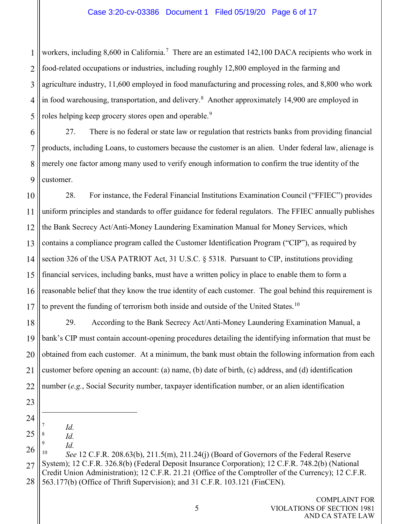#### Case 3:20-cv-03386 Document 1 Filed 05/19/20 Page 6 of 17

1 2 3 4 5 workers, including 8,600 in California.<sup>[7](#page-5-0)</sup> There are an estimated 142,100 DACA recipients who work in food-related occupations or industries, including roughly 12,800 employed in the farming and agriculture industry, 11,600 employed in food manufacturing and processing roles, and 8,800 who work in food warehousing, transportation, and delivery.<sup>[8](#page-5-1)</sup> Another approximately 14,900 are employed in roles helping keep grocery stores open and operable.<sup>[9](#page-5-2)</sup>

6 7 8 9 27. There is no federal or state law or regulation that restricts banks from providing financial products, including Loans, to customers because the customer is an alien. Under federal law, alienage is merely one factor among many used to verify enough information to confirm the true identity of the customer.

10 11 12 13 14 15 16 17 28. For instance, the Federal Financial Institutions Examination Council ("FFIEC") provides uniform principles and standards to offer guidance for federal regulators. The FFIEC annually publishes the Bank Secrecy Act/Anti-Money Laundering Examination Manual for Money Services, which contains a compliance program called the Customer Identification Program ("CIP"), as required by section 326 of the USA PATRIOT Act, 31 U.S.C. § 5318. Pursuant to CIP, institutions providing financial services, including banks, must have a written policy in place to enable them to form a reasonable belief that they know the true identity of each customer. The goal behind this requirement is to prevent the funding of terrorism both inside and outside of the United States.<sup>[10](#page-5-3)</sup>

18 19 20 21 22 29. According to the Bank Secrecy Act/Anti-Money Laundering Examination Manual, a bank's CIP must contain account-opening procedures detailing the identifying information that must be obtained from each customer. At a minimum, the bank must obtain the following information from each customer before opening an account: (a) name, (b) date of birth, (c) address, and (d) identification number (*e.g.*, Social Security number, taxpayer identification number, or an alien identification

- 23
- 24
- <span id="page-5-1"></span><span id="page-5-0"></span>25  $\frac{7}{8}$  *Id. Id.*
- 
- <span id="page-5-2"></span>26  $\frac{9}{10}$  *Id.*

<span id="page-5-3"></span><sup>27</sup> 28 <sup>10</sup> *See* 12 C.F.R. 208.63(b), 211.5(m), 211.24(j) (Board of Governors of the Federal Reserve System); 12 C.F.R. 326.8(b) (Federal Deposit Insurance Corporation); 12 C.F.R. 748.2(b) (National Credit Union Administration); 12 C.F.R. 21.21 (Office of the Comptroller of the Currency); 12 C.F.R. 563.177(b) (Office of Thrift Supervision); and 31 C.F.R. 103.121 (FinCEN).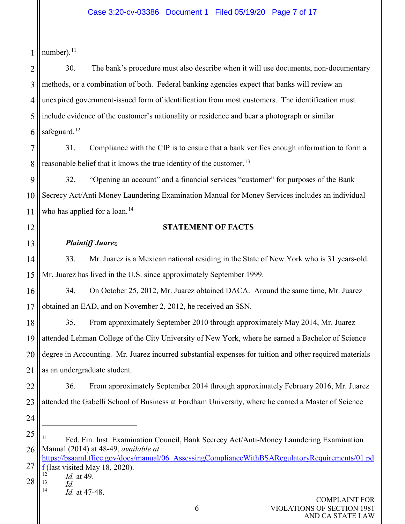#### Case 3:20-cv-03386 Document 1 Filed 05/19/20 Page 7 of 17

1 number). $^{11}$ 

2 3 4 5 6 30. The bank's procedure must also describe when it will use documents, non-documentary methods, or a combination of both. Federal banking agencies expect that banks will review an unexpired government-issued form of identification from most customers. The identification must include evidence of the customer's nationality or residence and bear a photograph or similar safeguard. $12$ 

7 8 31. Compliance with the CIP is to ensure that a bank verifies enough information to form a reasonable belief that it knows the true identity of the customer.<sup>[13](#page-6-2)</sup>

9 10 11 32. "Opening an account" and a financial services "customer" for purposes of the Bank Secrecy Act/Anti Money Laundering Examination Manual for Money Services includes an individual who has applied for a loan.<sup>[14](#page-6-3)</sup>

12

13

## **STATEMENT OF FACTS**

## *Plaintiff Juarez*

14 15 33. Mr. Juarez is a Mexican national residing in the State of New York who is 31 years-old. Mr. Juarez has lived in the U.S. since approximately September 1999.

16 17 34. On October 25, 2012, Mr. Juarez obtained DACA. Around the same time, Mr. Juarez obtained an EAD, and on November 2, 2012, he received an SSN.

18 19 20 21 35. From approximately September 2010 through approximately May 2014, Mr. Juarez attended Lehman College of the City University of New York, where he earned a Bachelor of Science degree in Accounting. Mr. Juarez incurred substantial expenses for tuition and other required materials as an undergraduate student.

22 23 36. From approximately September 2014 through approximately February 2016, Mr. Juarez attended the Gabelli School of Business at Fordham University, where he earned a Master of Science

24

<span id="page-6-0"></span><sup>25</sup> 26 <sup>11</sup> Fed. Fin. Inst. Examination Council, Bank Secrecy Act/Anti-Money Laundering Examination Manual (2014) at 48-49, *available at*

<sup>27</sup> [https://bsaaml.ffiec.gov/docs/manual/06\\_AssessingComplianceWithBSARegulatoryRequirements/01.pd](https://bsaaml.ffiec.gov/docs/manual/06_AssessingComplianceWithBSARegulatoryRequirements/01.pdf)  $\frac{f}{12}$  $\frac{f}{12}$  $\frac{f}{12}$ (last visited May 18, 2020).

<span id="page-6-3"></span><span id="page-6-2"></span><span id="page-6-1"></span><sup>28</sup>  $\frac{12}{13}$  *Id.* at 49.

 $\frac{13}{14}$  *Id.* <sup>14</sup> *Id.* at 47-48.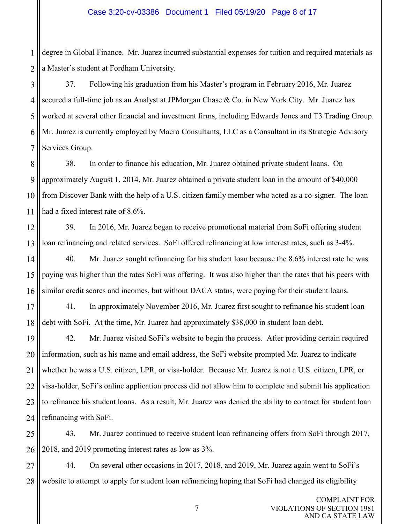1 2 degree in Global Finance. Mr. Juarez incurred substantial expenses for tuition and required materials as a Master's student at Fordham University.

3 4 5 6 7 37. Following his graduation from his Master's program in February 2016, Mr. Juarez secured a full-time job as an Analyst at JPMorgan Chase & Co. in New York City. Mr. Juarez has worked at several other financial and investment firms, including Edwards Jones and T3 Trading Group. Mr. Juarez is currently employed by Macro Consultants, LLC as a Consultant in its Strategic Advisory Services Group.

8 9 10 11 38. In order to finance his education, Mr. Juarez obtained private student loans. On approximately August 1, 2014, Mr. Juarez obtained a private student loan in the amount of \$40,000 from Discover Bank with the help of a U.S. citizen family member who acted as a co-signer. The loan had a fixed interest rate of 8.6%.

12 13 39. In 2016, Mr. Juarez began to receive promotional material from SoFi offering student loan refinancing and related services. SoFi offered refinancing at low interest rates, such as 3-4%.

14 15 16 40. Mr. Juarez sought refinancing for his student loan because the 8.6% interest rate he was paying was higher than the rates SoFi was offering. It was also higher than the rates that his peers with similar credit scores and incomes, but without DACA status, were paying for their student loans.

17 18 41. In approximately November 2016, Mr. Juarez first sought to refinance his student loan debt with SoFi. At the time, Mr. Juarez had approximately \$38,000 in student loan debt.

19 20 21 22 23 24 42. Mr. Juarez visited SoFi's website to begin the process. After providing certain required information, such as his name and email address, the SoFi website prompted Mr. Juarez to indicate whether he was a U.S. citizen, LPR, or visa-holder. Because Mr. Juarez is not a U.S. citizen, LPR, or visa-holder, SoFi's online application process did not allow him to complete and submit his application to refinance his student loans. As a result, Mr. Juarez was denied the ability to contract for student loan refinancing with SoFi.

25 26 43. Mr. Juarez continued to receive student loan refinancing offers from SoFi through 2017, 2018, and 2019 promoting interest rates as low as 3%.

27 28 44. On several other occasions in 2017, 2018, and 2019, Mr. Juarez again went to SoFi's website to attempt to apply for student loan refinancing hoping that SoFi had changed its eligibility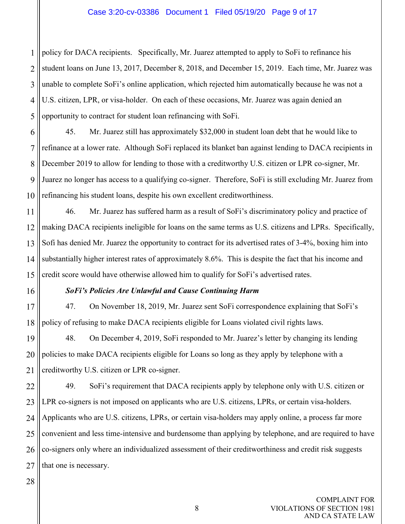#### Case 3:20-cv-03386 Document 1 Filed 05/19/20 Page 9 of 17

1 2 3 4 5 policy for DACA recipients. Specifically, Mr. Juarez attempted to apply to SoFi to refinance his student loans on June 13, 2017, December 8, 2018, and December 15, 2019. Each time, Mr. Juarez was unable to complete SoFi's online application, which rejected him automatically because he was not a U.S. citizen, LPR, or visa-holder. On each of these occasions, Mr. Juarez was again denied an opportunity to contract for student loan refinancing with SoFi.

6 7 8 9 10 45. Mr. Juarez still has approximately \$32,000 in student loan debt that he would like to refinance at a lower rate. Although SoFi replaced its blanket ban against lending to DACA recipients in December 2019 to allow for lending to those with a creditworthy U.S. citizen or LPR co-signer, Mr. Juarez no longer has access to a qualifying co-signer. Therefore, SoFi is still excluding Mr. Juarez from refinancing his student loans, despite his own excellent creditworthiness.

11 12 13 14 15 46. Mr. Juarez has suffered harm as a result of SoFi's discriminatory policy and practice of making DACA recipients ineligible for loans on the same terms as U.S. citizens and LPRs. Specifically, Sofi has denied Mr. Juarez the opportunity to contract for its advertised rates of 3-4%, boxing him into substantially higher interest rates of approximately 8.6%. This is despite the fact that his income and credit score would have otherwise allowed him to qualify for SoFi's advertised rates.

#### *SoFi's Policies Are Unlawful and Cause Continuing Harm*

17 18 47. On November 18, 2019, Mr. Juarez sent SoFi correspondence explaining that SoFi's policy of refusing to make DACA recipients eligible for Loans violated civil rights laws.

19 20 21 48. On December 4, 2019, SoFi responded to Mr. Juarez's letter by changing its lending policies to make DACA recipients eligible for Loans so long as they apply by telephone with a creditworthy U.S. citizen or LPR co-signer.

22 23 24 25 26 27 49. SoFi's requirement that DACA recipients apply by telephone only with U.S. citizen or LPR co-signers is not imposed on applicants who are U.S. citizens, LPRs, or certain visa-holders. Applicants who are U.S. citizens, LPRs, or certain visa-holders may apply online, a process far more convenient and less time-intensive and burdensome than applying by telephone, and are required to have co-signers only where an individualized assessment of their creditworthiness and credit risk suggests that one is necessary.

28

16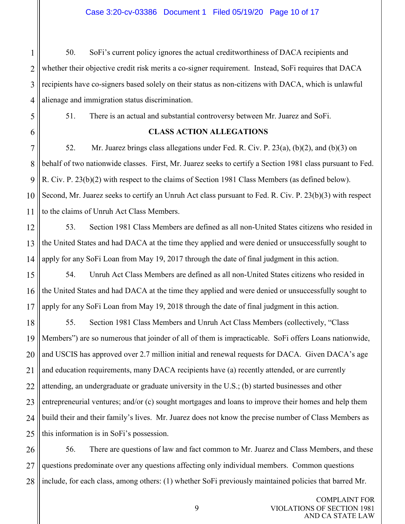#### Case 3:20-cv-03386 Document 1 Filed 05/19/20 Page 10 of 17

1 2 3 4 50. SoFi's current policy ignores the actual creditworthiness of DACA recipients and whether their objective credit risk merits a co-signer requirement. Instead, SoFi requires that DACA recipients have co-signers based solely on their status as non-citizens with DACA, which is unlawful alienage and immigration status discrimination.

5 6 51. There is an actual and substantial controversy between Mr. Juarez and SoFi.

## **CLASS ACTION ALLEGATIONS**

7 8 9 10 11 52. Mr. Juarez brings class allegations under Fed. R. Civ. P. 23(a), (b)(2), and (b)(3) on behalf of two nationwide classes. First, Mr. Juarez seeks to certify a Section 1981 class pursuant to Fed. R. Civ. P. 23(b)(2) with respect to the claims of Section 1981 Class Members (as defined below). Second, Mr. Juarez seeks to certify an Unruh Act class pursuant to Fed. R. Civ. P. 23(b)(3) with respect to the claims of Unruh Act Class Members.

12 13 14 53. Section 1981 Class Members are defined as all non-United States citizens who resided in the United States and had DACA at the time they applied and were denied or unsuccessfully sought to apply for any SoFi Loan from May 19, 2017 through the date of final judgment in this action.

15 16 17 54. Unruh Act Class Members are defined as all non-United States citizens who resided in the United States and had DACA at the time they applied and were denied or unsuccessfully sought to apply for any SoFi Loan from May 19, 2018 through the date of final judgment in this action.

18 19 20 21 22 23 24 25 55. Section 1981 Class Members and Unruh Act Class Members (collectively, "Class Members") are so numerous that joinder of all of them is impracticable. SoFi offers Loans nationwide, and USCIS has approved over 2.7 million initial and renewal requests for DACA. Given DACA's age and education requirements, many DACA recipients have (a) recently attended, or are currently attending, an undergraduate or graduate university in the U.S.; (b) started businesses and other entrepreneurial ventures; and/or (c) sought mortgages and loans to improve their homes and help them build their and their family's lives. Mr. Juarez does not know the precise number of Class Members as this information is in SoFi's possession.

26 27 28 56. There are questions of law and fact common to Mr. Juarez and Class Members, and these questions predominate over any questions affecting only individual members. Common questions include, for each class, among others: (1) whether SoFi previously maintained policies that barred Mr.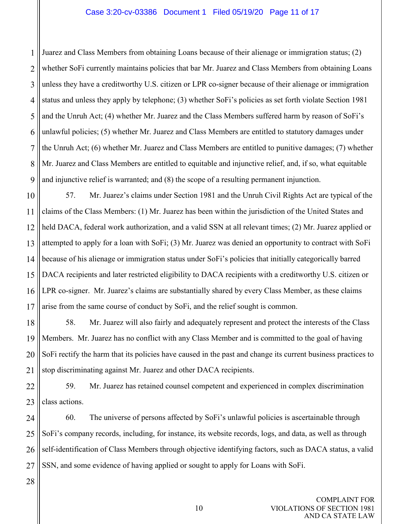#### Case 3:20-cv-03386 Document 1 Filed 05/19/20 Page 11 of 17

1 2 3 4 5 6 7 8 9 Juarez and Class Members from obtaining Loans because of their alienage or immigration status; (2) whether SoFi currently maintains policies that bar Mr. Juarez and Class Members from obtaining Loans unless they have a creditworthy U.S. citizen or LPR co-signer because of their alienage or immigration status and unless they apply by telephone; (3) whether SoFi's policies as set forth violate Section 1981 and the Unruh Act; (4) whether Mr. Juarez and the Class Members suffered harm by reason of SoFi's unlawful policies; (5) whether Mr. Juarez and Class Members are entitled to statutory damages under the Unruh Act; (6) whether Mr. Juarez and Class Members are entitled to punitive damages; (7) whether Mr. Juarez and Class Members are entitled to equitable and injunctive relief, and, if so, what equitable and injunctive relief is warranted; and (8) the scope of a resulting permanent injunction.

10 11 12 13 14 15 16 17 57. Mr. Juarez's claims under Section 1981 and the Unruh Civil Rights Act are typical of the claims of the Class Members: (1) Mr. Juarez has been within the jurisdiction of the United States and held DACA, federal work authorization, and a valid SSN at all relevant times; (2) Mr. Juarez applied or attempted to apply for a loan with SoFi; (3) Mr. Juarez was denied an opportunity to contract with SoFi because of his alienage or immigration status under SoFi's policies that initially categorically barred DACA recipients and later restricted eligibility to DACA recipients with a creditworthy U.S. citizen or LPR co-signer. Mr. Juarez's claims are substantially shared by every Class Member, as these claims arise from the same course of conduct by SoFi, and the relief sought is common.

18 19 20 21 58. Mr. Juarez will also fairly and adequately represent and protect the interests of the Class Members. Mr. Juarez has no conflict with any Class Member and is committed to the goal of having SoFi rectify the harm that its policies have caused in the past and change its current business practices to stop discriminating against Mr. Juarez and other DACA recipients.

22 23 59. Mr. Juarez has retained counsel competent and experienced in complex discrimination class actions.

24 25 26 27 60. The universe of persons affected by SoFi's unlawful policies is ascertainable through SoFi's company records, including, for instance, its website records, logs, and data, as well as through self-identification of Class Members through objective identifying factors, such as DACA status, a valid SSN, and some evidence of having applied or sought to apply for Loans with SoFi.

28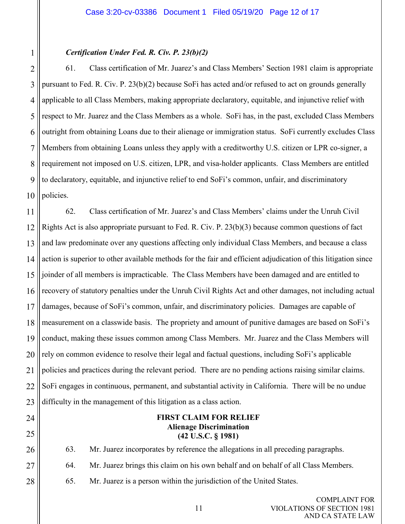## *Certification Under Fed. R. Civ. P. 23(b)(2)*

2 3 4 5 6 7 8 9 10 61. Class certification of Mr. Juarez's and Class Members' Section 1981 claim is appropriate pursuant to Fed. R. Civ. P. 23(b)(2) because SoFi has acted and/or refused to act on grounds generally applicable to all Class Members, making appropriate declaratory, equitable, and injunctive relief with respect to Mr. Juarez and the Class Members as a whole. SoFi has, in the past, excluded Class Members outright from obtaining Loans due to their alienage or immigration status. SoFi currently excludes Class Members from obtaining Loans unless they apply with a creditworthy U.S. citizen or LPR co-signer, a requirement not imposed on U.S. citizen, LPR, and visa-holder applicants. Class Members are entitled to declaratory, equitable, and injunctive relief to end SoFi's common, unfair, and discriminatory policies.

11 12 13 14 15 16 17 18 19 20 21 22 23 62. Class certification of Mr. Juarez's and Class Members' claims under the Unruh Civil Rights Act is also appropriate pursuant to Fed. R. Civ. P. 23(b)(3) because common questions of fact and law predominate over any questions affecting only individual Class Members, and because a class action is superior to other available methods for the fair and efficient adjudication of this litigation since joinder of all members is impracticable. The Class Members have been damaged and are entitled to recovery of statutory penalties under the Unruh Civil Rights Act and other damages, not including actual damages, because of SoFi's common, unfair, and discriminatory policies. Damages are capable of measurement on a classwide basis. The propriety and amount of punitive damages are based on SoFi's conduct, making these issues common among Class Members. Mr. Juarez and the Class Members will rely on common evidence to resolve their legal and factual questions, including SoFi's applicable policies and practices during the relevant period. There are no pending actions raising similar claims. SoFi engages in continuous, permanent, and substantial activity in California. There will be no undue difficulty in the management of this litigation as a class action.

24

1

25

## **FIRST CLAIM FOR RELIEF Alienage Discrimination (42 U.S.C. § 1981)**

26 63. Mr. Juarez incorporates by reference the allegations in all preceding paragraphs.

27 64. Mr. Juarez brings this claim on his own behalf and on behalf of all Class Members.

28 65. Mr. Juarez is a person within the jurisdiction of the United States.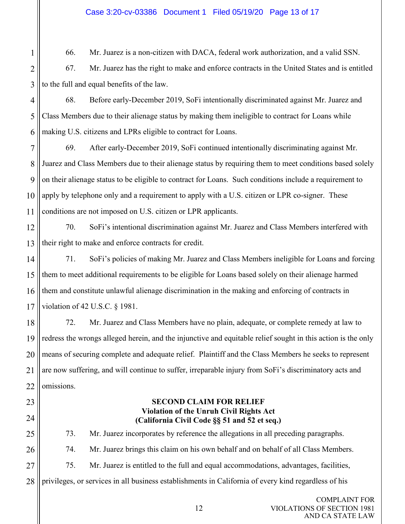## Case 3:20-cv-03386 Document 1 Filed 05/19/20 Page 13 of 17

66. Mr. Juarez is a non-citizen with DACA, federal work authorization, and a valid SSN.

2 3 67. Mr. Juarez has the right to make and enforce contracts in the United States and is entitled to the full and equal benefits of the law.

4 5 6 68. Before early-December 2019, SoFi intentionally discriminated against Mr. Juarez and Class Members due to their alienage status by making them ineligible to contract for Loans while making U.S. citizens and LPRs eligible to contract for Loans.

7 8 9 10 11 69. After early-December 2019, SoFi continued intentionally discriminating against Mr. Juarez and Class Members due to their alienage status by requiring them to meet conditions based solely on their alienage status to be eligible to contract for Loans. Such conditions include a requirement to apply by telephone only and a requirement to apply with a U.S. citizen or LPR co-signer. These conditions are not imposed on U.S. citizen or LPR applicants.

12 13 70. SoFi's intentional discrimination against Mr. Juarez and Class Members interfered with their right to make and enforce contracts for credit.

14 15 16 17 71. SoFi's policies of making Mr. Juarez and Class Members ineligible for Loans and forcing them to meet additional requirements to be eligible for Loans based solely on their alienage harmed them and constitute unlawful alienage discrimination in the making and enforcing of contracts in violation of 42 U.S.C. § 1981.

18 19 20 21 22 72. Mr. Juarez and Class Members have no plain, adequate, or complete remedy at law to redress the wrongs alleged herein, and the injunctive and equitable relief sought in this action is the only means of securing complete and adequate relief. Plaintiff and the Class Members he seeks to represent are now suffering, and will continue to suffer, irreparable injury from SoFi's discriminatory acts and omissions.

23

24

1

## **SECOND CLAIM FOR RELIEF Violation of the Unruh Civil Rights Act (California Civil Code §§ 51 and 52 et seq.)**

25 26 27 28 73. Mr. Juarez incorporates by reference the allegations in all preceding paragraphs. 74. Mr. Juarez brings this claim on his own behalf and on behalf of all Class Members. 75. Mr. Juarez is entitled to the full and equal accommodations, advantages, facilities, privileges, or services in all business establishments in California of every kind regardless of his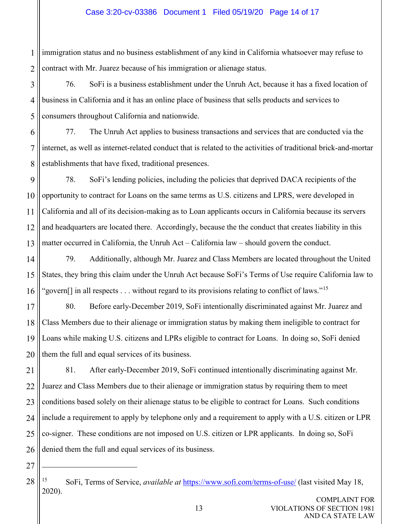#### Case 3:20-cv-03386 Document 1 Filed 05/19/20 Page 14 of 17

1 2 immigration status and no business establishment of any kind in California whatsoever may refuse to contract with Mr. Juarez because of his immigration or alienage status.

3 4 5 76. SoFi is a business establishment under the Unruh Act, because it has a fixed location of business in California and it has an online place of business that sells products and services to consumers throughout California and nationwide.

6 7 8 77. The Unruh Act applies to business transactions and services that are conducted via the internet, as well as internet-related conduct that is related to the activities of traditional brick-and-mortar establishments that have fixed, traditional presences.

- 9 10 11 12 13 78. SoFi's lending policies, including the policies that deprived DACA recipients of the opportunity to contract for Loans on the same terms as U.S. citizens and LPRS, were developed in California and all of its decision-making as to Loan applicants occurs in California because its servers and headquarters are located there. Accordingly, because the the conduct that creates liability in this matter occurred in California, the Unruh Act – California law – should govern the conduct.
- 14 15 16 79. Additionally, although Mr. Juarez and Class Members are located throughout the United States, they bring this claim under the Unruh Act because SoFi's Terms of Use require California law to "govern[] in all respects . . . without regard to its provisions relating to conflict of laws."<sup>[15](#page-13-0)</sup>
- 17 18 19 20 80. Before early-December 2019, SoFi intentionally discriminated against Mr. Juarez and Class Members due to their alienage or immigration status by making them ineligible to contract for Loans while making U.S. citizens and LPRs eligible to contract for Loans. In doing so, SoFi denied them the full and equal services of its business.
- 21 22 23 24 25 26 81. After early-December 2019, SoFi continued intentionally discriminating against Mr. Juarez and Class Members due to their alienage or immigration status by requiring them to meet conditions based solely on their alienage status to be eligible to contract for Loans. Such conditions include a requirement to apply by telephone only and a requirement to apply with a U.S. citizen or LPR co-signer. These conditions are not imposed on U.S. citizen or LPR applicants. In doing so, SoFi denied them the full and equal services of its business.
- <span id="page-13-0"></span>28 <sup>15</sup> SoFi, Terms of Service, *available at* <https://www.sofi.com/terms-of-use/> (last visited May 18, 2020).

27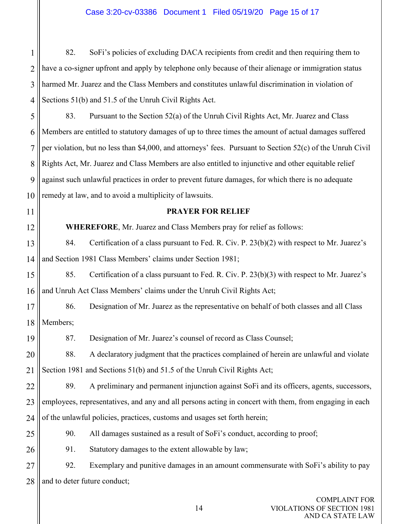1 2 3 4 82. SoFi's policies of excluding DACA recipients from credit and then requiring them to have a co-signer upfront and apply by telephone only because of their alienage or immigration status harmed Mr. Juarez and the Class Members and constitutes unlawful discrimination in violation of Sections 51(b) and 51.5 of the Unruh Civil Rights Act.

5 6 7 8 9 10 83. Pursuant to the Section 52(a) of the Unruh Civil Rights Act, Mr. Juarez and Class Members are entitled to statutory damages of up to three times the amount of actual damages suffered per violation, but no less than \$4,000, and attorneys' fees. Pursuant to Section 52(c) of the Unruh Civil Rights Act, Mr. Juarez and Class Members are also entitled to injunctive and other equitable relief against such unlawful practices in order to prevent future damages, for which there is no adequate remedy at law, and to avoid a multiplicity of lawsuits.

11

12

## **PRAYER FOR RELIEF**

**WHEREFORE**, Mr. Juarez and Class Members pray for relief as follows:

13 14 84. Certification of a class pursuant to Fed. R. Civ. P. 23(b)(2) with respect to Mr. Juarez's and Section 1981 Class Members' claims under Section 1981;

15 16 85. Certification of a class pursuant to Fed. R. Civ. P. 23(b)(3) with respect to Mr. Juarez's and Unruh Act Class Members' claims under the Unruh Civil Rights Act;

17 18 86. Designation of Mr. Juarez as the representative on behalf of both classes and all Class Members;

19 87. Designation of Mr. Juarez's counsel of record as Class Counsel;

20 21 88. A declaratory judgment that the practices complained of herein are unlawful and violate Section 1981 and Sections 51(b) and 51.5 of the Unruh Civil Rights Act;

22 23 24 89. A preliminary and permanent injunction against SoFi and its officers, agents, successors, employees, representatives, and any and all persons acting in concert with them, from engaging in each of the unlawful policies, practices, customs and usages set forth herein;

- 25 90. All damages sustained as a result of SoFi's conduct, according to proof;
- 26 91. Statutory damages to the extent allowable by law;

27 28 92. Exemplary and punitive damages in an amount commensurate with SoFi's ability to pay and to deter future conduct;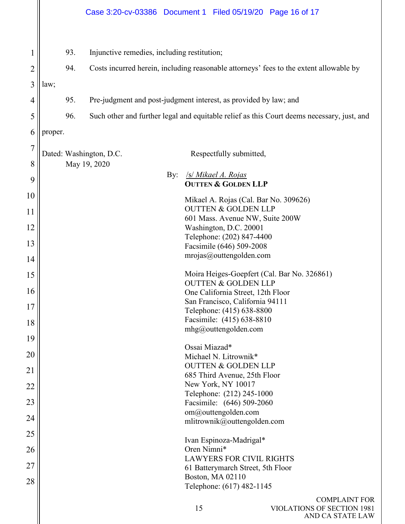# Case 3:20-cv-03386 Document 1 Filed 05/19/20 Page 16 of 17

| 1               |         | 93. | Injunctive remedies, including restitution;                                                |                                                                               |
|-----------------|---------|-----|--------------------------------------------------------------------------------------------|-------------------------------------------------------------------------------|
| $\overline{2}$  |         | 94. | Costs incurred herein, including reasonable attorneys' fees to the extent allowable by     |                                                                               |
| 3               | law;    |     |                                                                                            |                                                                               |
| 4               |         | 95. |                                                                                            | Pre-judgment and post-judgment interest, as provided by law; and              |
| 5               |         | 96. | Such other and further legal and equitable relief as this Court deems necessary, just, and |                                                                               |
| 6               | proper. |     |                                                                                            |                                                                               |
| $\tau$          |         |     |                                                                                            |                                                                               |
| 8               |         |     | Dated: Washington, D.C.<br>May 19, 2020                                                    | Respectfully submitted,                                                       |
|                 |         |     | By:                                                                                        | <b>S/ Mikael A. Rojas</b>                                                     |
| 9               |         |     |                                                                                            | <b>OUTTEN &amp; GOLDEN LLP</b>                                                |
| 10              |         |     |                                                                                            | Mikael A. Rojas (Cal. Bar No. 309626)                                         |
| 11              |         |     |                                                                                            | <b>OUTTEN &amp; GOLDEN LLP</b><br>601 Mass. Avenue NW, Suite 200W             |
| 12              |         |     |                                                                                            | Washington, D.C. 20001                                                        |
| 13              |         |     |                                                                                            | Telephone: (202) 847-4400                                                     |
|                 |         |     |                                                                                            | Facsimile (646) 509-2008<br>mrojas@outtengolden.com                           |
| 14              |         |     |                                                                                            |                                                                               |
| 15              |         |     |                                                                                            | Moira Heiges-Goepfert (Cal. Bar No. 326861)<br><b>OUTTEN &amp; GOLDEN LLP</b> |
| 16              |         |     |                                                                                            | One California Street, 12th Floor                                             |
| 17              |         |     |                                                                                            | San Francisco, California 94111                                               |
|                 |         |     |                                                                                            | Telephone: (415) 638-8800                                                     |
| 18              |         |     |                                                                                            | Facsimile: (415) 638-8810<br>mhg@outtengolden.com                             |
| 19              |         |     |                                                                                            | Ossai Miazad*                                                                 |
| 20              |         |     |                                                                                            | Michael N. Litrownik*                                                         |
| $\overline{21}$ |         |     |                                                                                            | <b>OUTTEN &amp; GOLDEN LLP</b>                                                |
|                 |         |     |                                                                                            | 685 Third Avenue, 25th Floor<br>New York, NY 10017                            |
| 22              |         |     |                                                                                            | Telephone: (212) 245-1000                                                     |
| 23              |         |     |                                                                                            | Facsimile: (646) 509-2060                                                     |
| 24              |         |     |                                                                                            | om@outtengolden.com<br>mlitrownik@outtengolden.com                            |
| 25              |         |     |                                                                                            |                                                                               |
|                 |         |     |                                                                                            | Ivan Espinoza-Madrigal*<br>Oren Nimni*                                        |
| 26              |         |     |                                                                                            | <b>LAWYERS FOR CIVIL RIGHTS</b>                                               |
| 27              |         |     |                                                                                            | 61 Batterymarch Street, 5th Floor                                             |
| 28              |         |     |                                                                                            | Boston, MA 02110<br>Telephone: (617) 482-1145                                 |
|                 |         |     |                                                                                            |                                                                               |
|                 |         |     |                                                                                            | <b>COMPLAINT FOR</b>                                                          |